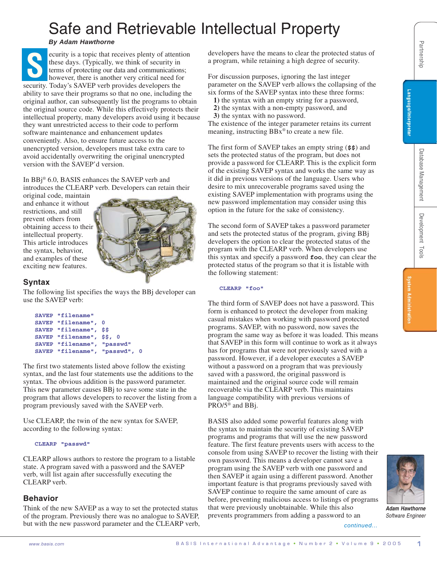# Safe and Retrievable Intellectual Property

## *By Adam Hawthorne*

**B A S A S ANY of the right of the right of the right of the right of the right of the right of the right of the right of the right of the right of the right of the right of the right of the right of the right of the righ** ecurity is a topic that receives plenty of attention these days. (Typically, we think of security in terms of protecting our data and communications; however, there is another very critical need for security. Today's SAVEP verb provides developers the ability to save their programs so that no one, including the original author, can subsequently list the programs to obtain the original source code. While this effectively protects their intellectual property, many developers avoid using it because they want unrestricted access to their code to perform software maintenance and enhancement updates conveniently. Also, to ensure future access to the unencrypted version, developers must take extra care to avoid accidentally overwriting the original unencrypted version with the SAVEP'd version. **S**

In BBj® 6.0, BASIS enhances the SAVEP verb and introduces the CLEARP verb. Developers can retain their

original code, maintain and enhance it without restrictions, and still prevent others from obtaining access to their intellectual property. This article introduces the syntax, behavior, and examples of these exciting new features.



## **Syntax**

The following list specifies the ways the BBj developer can use the SAVEP verb:

```
 SAVEP "filename"
SAVEP "filename", 0
SAVEP "filename", $$
SAVEP "filename", $$, 0
SAVEP "filename", "passwd"
SAVEP "filename", "passwd", 0
```
The first two statements listed above follow the existing syntax, and the last four statements use the additions to the syntax. The obvious addition is the password parameter. This new parameter causes BBj to save some state in the program that allows developers to recover the listing from a program previously saved with the SAVEP verb.

Use CLEARP, the twin of the new syntax for SAVEP, according to the following syntax:

#### **CLEARP "passwd"**

CLEARP allows authors to restore the program to a listable state. A program saved with a password and the SAVEP verb, will list again after successfully executing the CLEARP verb.

## **Behavior**

Think of the new SAVEP as a way to set the protected status of the program. Previously there was no analogue to SAVEP, but with the new password parameter and the CLEARP verb, developers have the means to clear the protected status of a program, while retaining a high degree of security.

For discussion purposes, ignoring the last integer parameter on the SAVEP verb allows the collapsing of the six forms of the SAVEP syntax into these three forms:

- **1)** the syntax with an empty string for a password,
- **2)** the syntax with a non-empty password, and
- **3)** the syntax with no password.

The existence of the integer parameter retains its current meaning, instructing BBx® to create a new file.

The first form of SAVEP takes an empty string (**\$\$**) and sets the protected status of the program, but does not provide a password for CLEARP. This is the explicit form of the existing SAVEP syntax and works the same way as it did in previous versions of the language. Users who desire to mix unrecoverable programs saved using the existing SAVEP implementation with programs using the new password implementation may consider using this option in the future for the sake of consistency.

The second form of SAVEP takes a password parameter and sets the protected status of the program, giving BBj developers the option to clear the protected status of the program with the CLEARP verb. When developers use this syntax and specify a password **foo**, they can clear the protected status of the program so that it is listable with the following statement:

#### **CLEARP "foo"**

The third form of SAVEP does not have a password. This form is enhanced to protect the developer from making casual mistakes when working with password protected programs. SAVEP, with no password, now saves the program the same way as before it was loaded. This means that SAVEP in this form will continue to work as it always has for programs that were not previously saved with a password. However, if a developer executes a SAVEP without a password on a program that was previously saved with a password, the original password is maintained and the original source code will remain recoverable via the CLEARP verb. This maintains language compatibility with previous versions of PRO/5® and BBj.

BASIS also added some powerful features along with the syntax to maintain the security of existing SAVEP programs and programs that will use the new password feature. The first feature prevents users with access to the console from using SAVEP to recover the listing with their own password. This means a developer cannot save a program using the SAVEP verb with one password and then SAVEP it again using a different password. Another important feature is that programs previously saved with SAVEP continue to require the same amount of care as before, preventing malicious access to listings of programs that were previously unobtainable. While this also prevents programmers from adding a password to an



*Adam Hawthorne Software Engineer*

*continued...*